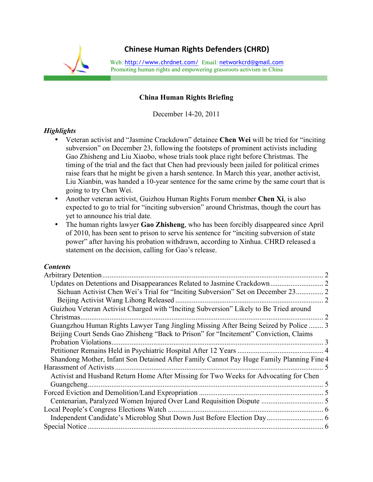

## **China Human Rights Briefing**

December 14-20, 2011

## *Highlights*

- Veteran activist and "Jasmine Crackdown" detainee **Chen Wei** will be tried for "inciting subversion" on December 23, following the footsteps of prominent activists including Gao Zhisheng and Liu Xiaobo, whose trials took place right before Christmas. The timing of the trial and the fact that Chen had previously been jailed for political crimes raise fears that he might be given a harsh sentence. In March this year, another activist, Liu Xianbin, was handed a 10-year sentence for the same crime by the same court that is going to try Chen Wei.
- Another veteran activist, Guizhou Human Rights Forum member **Chen Xi**, is also expected to go to trial for "inciting subversion" around Christmas, though the court has yet to announce his trial date.
- The human rights lawyer **Gao Zhisheng**, who has been forcibly disappeared since April of 2010, has been sent to prison to serve his sentence for "inciting subversion of state power" after having his probation withdrawn, according to Xinhua. CHRD released a statement on the decision, calling for Gao's release.

## *Contents*

| $\mathcal{L}$                                                                            |
|------------------------------------------------------------------------------------------|
| 2                                                                                        |
|                                                                                          |
|                                                                                          |
| Guangzhou Human Rights Lawyer Tang Jingling Missing After Being Seized by Police  3      |
|                                                                                          |
| $\mathcal{R}$                                                                            |
|                                                                                          |
| Shandong Mother, Infant Son Detained After Family Cannot Pay Huge Family Planning Fine 4 |
|                                                                                          |
|                                                                                          |
|                                                                                          |
|                                                                                          |
|                                                                                          |
|                                                                                          |
|                                                                                          |
|                                                                                          |
|                                                                                          |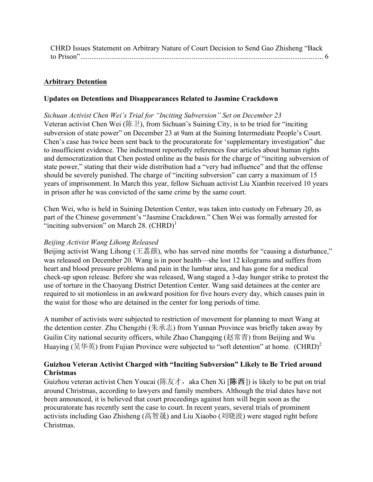| CHRD Issues Statement on Arbitrary Nature of Court Decision to Send Gao Zhisheng "Back |  |
|----------------------------------------------------------------------------------------|--|
|                                                                                        |  |

## **Arbitrary Detention**

#### **Updates on Detentions and Disappearances Related to Jasmine Crackdown**

*Sichuan Activist Chen Wei's Trial for "Inciting Subversion" Set on December 23* Veteran activist Chen Wei (陈卫), from Sichuan's Suining City, is to be tried for "inciting" subversion of state power" on December 23 at 9am at the Suining Intermediate People's Court. Chen's case has twice been sent back to the procuratorate for 'supplementary investigation" due to insufficient evidence. The indictment reportedly references four articles about human rights and democratization that Chen posted online as the basis for the charge of "inciting subversion of state power," stating that their wide distribution had a "very bad influence" and that the offense should be severely punished. The charge of "inciting subversion" can carry a maximum of 15 years of imprisonment. In March this year, fellow Sichuan activist Liu Xianbin received 10 years in prison after he was convicted of the same crime by the same court.

Chen Wei, who is held in Suining Detention Center, was taken into custody on February 20, as part of the Chinese government's "Jasmine Crackdown." Chen Wei was formally arrested for "inciting subversion" on March 28.  $(CHRD)^1$ 

#### *Beijing Activist Wang Lihong Released*

Beijing activist Wang Lihong (王荔蕻), who has served nine months for "causing a disturbance," was released on December 20. Wang is in poor health—she lost 12 kilograms and suffers from heart and blood pressure problems and pain in the lumbar area, and has gone for a medical check-up upon release. Before she was released, Wang staged a 3-day hunger strike to protest the use of torture in the Chaoyang District Detention Center. Wang said detainees at the center are required to sit motionless in an awkward position for five hours every day, which causes pain in the waist for those who are detained in the center for long periods of time.

A number of activists were subjected to restriction of movement for planning to meet Wang at the detention center. Zhu Chengzhi (朱承志) from Yunnan Province was briefly taken away by Guilin City national security officers, while Zhao Changqing (赵常青) from Beijing and Wu Huaving (吴华英) from Fujian Province were subjected to "soft detention" at home.  $(CHRD)^2$ 

## **Guizhou Veteran Activist Charged with "Inciting Subversion" Likely to Be Tried around Christmas**

Guizhou veteran activist Chen Youcai (陈友才, aka Chen Xi [陈西]) is likely to be put on trial around Christmas, according to lawyers and family members. Although the trial dates have not been announced, it is believed that court proceedings against him will begin soon as the procuratorate has recently sent the case to court. In recent years, several trials of prominent activists including Gao Zhisheng (高智晟) and Liu Xiaobo (刘晓波) were staged right before Christmas.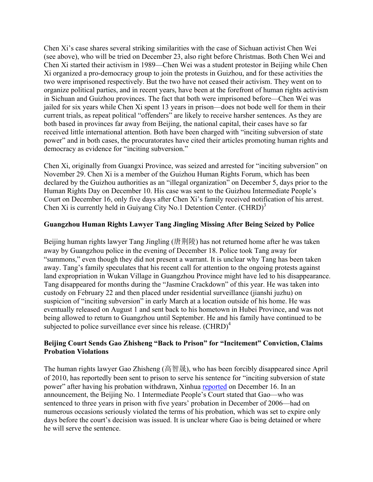Chen Xi's case shares several striking similarities with the case of Sichuan activist Chen Wei (see above), who will be tried on December 23, also right before Christmas. Both Chen Wei and Chen Xi started their activism in 1989—Chen Wei was a student protestor in Beijing while Chen Xi organized a pro-democracy group to join the protests in Guizhou, and for these activities the two were imprisoned respectively. But the two have not ceased their activism. They went on to organize political parties, and in recent years, have been at the forefront of human rights activism in Sichuan and Guizhou provinces. The fact that both were imprisoned before—Chen Wei was jailed for six years while Chen Xi spent 13 years in prison—does not bode well for them in their current trials, as repeat political "offenders" are likely to receive harsher sentences. As they are both based in provinces far away from Beijing, the national capital, their cases have so far received little international attention. Both have been charged with "inciting subversion of state power" and in both cases, the procuratorates have cited their articles promoting human rights and democracy as evidence for "inciting subversion."

Chen Xi, originally from Guangxi Province, was seized and arrested for "inciting subversion" on November 29. Chen Xi is a member of the Guizhou Human Rights Forum, which has been declared by the Guizhou authorities as an "illegal organization" on December 5, days prior to the Human Rights Day on December 10. His case was sent to the Guizhou Intermediate People's Court on December 16, only five days after Chen Xi's family received notification of his arrest. Chen Xi is currently held in Guiyang City No.1 Detention Center.  $(CHRD)^3$ 

## **Guangzhou Human Rights Lawyer Tang Jingling Missing After Being Seized by Police**

Beijing human rights lawyer Tang Jingling (唐荆陵) has not returned home after he was taken away by Guangzhou police in the evening of December 18. Police took Tang away for "summons," even though they did not present a warrant. It is unclear why Tang has been taken away. Tang's family speculates that his recent call for attention to the ongoing protests against land expropriation in Wukan Village in Guangzhou Province might have led to his disappearance. Tang disappeared for months during the "Jasmine Crackdown" of this year. He was taken into custody on February 22 and then placed under residential surveillance (jianshi juzhu) on suspicion of "inciting subversion" in early March at a location outside of his home. He was eventually released on August 1 and sent back to his hometown in Hubei Province, and was not being allowed to return to Guangzhou until September. He and his family have continued to be subjected to police surveillance ever since his release.  $(CHRD)^4$ 

## **Beijing Court Sends Gao Zhisheng "Back to Prison" for "Incitement" Conviction, Claims Probation Violations**

The human rights lawyer Gao Zhisheng (高智晟), who has been forcibly disappeared since April of 2010, has reportedly been sent to prison to serve his sentence for "inciting subversion of state power" after having his probation withdrawn, Xinhua reported on December 16. In an announcement, the Beijing No. 1 Intermediate People's Court stated that Gao—who was sentenced to three years in prison with five years' probation in December of 2006—had on numerous occasions seriously violated the terms of his probation, which was set to expire only days before the court's decision was issued. It is unclear where Gao is being detained or where he will serve the sentence.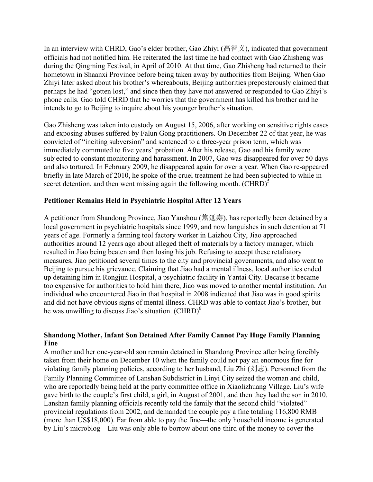In an interview with CHRD, Gao's elder brother, Gao Zhiyi (高智义), indicated that government officials had not notified him. He reiterated the last time he had contact with Gao Zhisheng was during the Qingming Festival, in April of 2010. At that time, Gao Zhisheng had returned to their hometown in Shaanxi Province before being taken away by authorities from Beijing. When Gao Zhiyi later asked about his brother's whereabouts, Beijing authorities preposterously claimed that perhaps he had "gotten lost," and since then they have not answered or responded to Gao Zhiyi's phone calls. Gao told CHRD that he worries that the government has killed his brother and he intends to go to Beijing to inquire about his younger brother's situation.

Gao Zhisheng was taken into custody on August 15, 2006, after working on sensitive rights cases and exposing abuses suffered by Falun Gong practitioners. On December 22 of that year, he was convicted of "inciting subversion" and sentenced to a three-year prison term, which was immediately commuted to five years' probation. After his release, Gao and his family were subjected to constant monitoring and harassment. In 2007, Gao was disappeared for over 50 days and also tortured. In February 2009, he disappeared again for over a year. When Gao re-appeared briefly in late March of 2010, he spoke of the cruel treatment he had been subjected to while in secret detention, and then went missing again the following month.  $(CHRD)^5$ 

## **Petitioner Remains Held in Psychiatric Hospital After 12 Years**

A petitioner from Shandong Province, Jiao Yanshou (焦延寿), has reportedly been detained by a local government in psychiatric hospitals since 1999, and now languishes in such detention at 71 years of age. Formerly a farming tool factory worker in Laizhou City, Jiao approached authorities around 12 years ago about alleged theft of materials by a factory manager, which resulted in Jiao being beaten and then losing his job. Refusing to accept these retaliatory measures, Jiao petitioned several times to the city and provincial governments, and also went to Beijing to pursue his grievance. Claiming that Jiao had a mental illness, local authorities ended up detaining him in Rongjun Hospital, a psychiatric facility in Yantai City. Because it became too expensive for authorities to hold him there, Jiao was moved to another mental institution. An individual who encountered Jiao in that hospital in 2008 indicated that Jiao was in good spirits and did not have obvious signs of mental illness. CHRD was able to contact Jiao's brother, but he was unwilling to discuss Jiao's situation.  $(CHRD)^6$ 

#### **Shandong Mother, Infant Son Detained After Family Cannot Pay Huge Family Planning Fine**

A mother and her one-year-old son remain detained in Shandong Province after being forcibly taken from their home on December 10 when the family could not pay an enormous fine for violating family planning policies, according to her husband, Liu Zhi (刘志). Personnel from the Family Planning Committee of Lanshan Subdistrict in Linyi City seized the woman and child, who are reportedly being held at the party committee office in Xiaolizhuang Village. Liu's wife gave birth to the couple's first child, a girl, in August of 2001, and then they had the son in 2010. Lanshan family planning officials recently told the family that the second child "violated" provincial regulations from 2002, and demanded the couple pay a fine totaling 116,800 RMB (more than US\$18,000). Far from able to pay the fine—the only household income is generated by Liu's microblog—Liu was only able to borrow about one-third of the money to cover the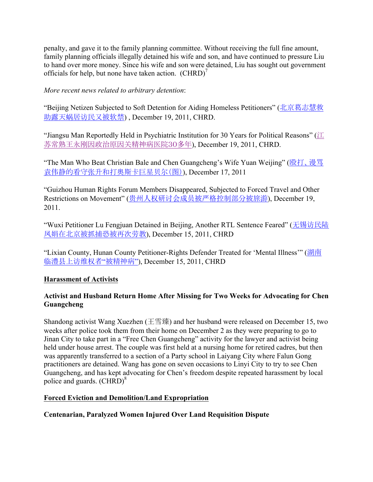penalty, and gave it to the family planning committee. Without receiving the full fine amount, family planning officials illegally detained his wife and son, and have continued to pressure Liu to hand over more money. Since his wife and son were detained, Liu has sought out government officials for help, but none have taken action.  $(CHRD)^{7}$ 

*More recent news related to arbitrary detention*:

"Beijing Netizen Subjected to Soft Detention for Aiding Homeless Petitioners" (北京葛志慧救 助露天蜗居访民又被软禁) , December 19, 2011, CHRD.

"Jiangsu Man Reportedly Held in Psychiatric Institution for 30 Years for Political Reasons" ( $\mathcal{I}$ 苏常熟王永刚因政治原因关精神病医院30多年), December 19, 2011, CHRD.

"The Man Who Beat Christian Bale and Chen Guangcheng's Wife Yuan Weijing" (殴打、谩骂 袁伟静的看守张升和打奥斯卡巨星贝尔(图)), December 17, 2011

"Guizhou Human Rights Forum Members Disappeared, Subjected to Forced Travel and Other Restrictions on Movement" (贵州人权研讨会成员被严格控制部分被旅游), December 19, 2011.

"Wuxi Petitioner Lu Fengjuan Detained in Beijing, Another RTL Sentence Feared" (无锡访民陆 凤娟在北京被抓捕恐被再次劳教), December 15, 2011, CHRD

"Lixian County, Hunan County Petitioner-Rights Defender Treated for 'Mental Illness'" (湖南 临澧县上访维权者"被精神病"), December 15, 2011, CHRD

# **Harassment of Activists**

## **Activist and Husband Return Home After Missing for Two Weeks for Advocating for Chen Guangcheng**

Shandong activist Wang Xuezhen (王雪臻) and her husband were released on December 15, two weeks after police took them from their home on December 2 as they were preparing to go to Jinan City to take part in a "Free Chen Guangcheng" activity for the lawyer and activist being held under house arrest. The couple was first held at a nursing home for retired cadres, but then was apparently transferred to a section of a Party school in Laiyang City where Falun Gong practitioners are detained. Wang has gone on seven occasions to Linyi City to try to see Chen Guangcheng, and has kept advocating for Chen's freedom despite repeated harassment by local police and guards. (CHRD)<sup>8</sup>

## **Forced Eviction and Demolition/Land Expropriation**

## **Centenarian, Paralyzed Women Injured Over Land Requisition Dispute**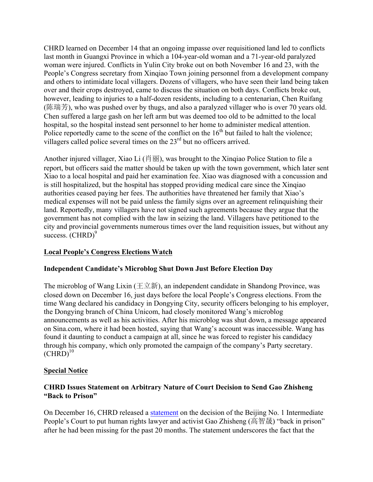CHRD learned on December 14 that an ongoing impasse over requisitioned land led to conflicts last month in Guangxi Province in which a 104-year-old woman and a 71-year-old paralyzed woman were injured. Conflicts in Yulin City broke out on both November 16 and 23, with the People's Congress secretary from Xinqiao Town joining personnel from a development company and others to intimidate local villagers. Dozens of villagers, who have seen their land being taken over and their crops destroyed, came to discuss the situation on both days. Conflicts broke out, however, leading to injuries to a half-dozen residents, including to a centenarian, Chen Ruifang (陈瑞芳), who was pushed over by thugs, and also a paralyzed villager who is over 70 years old. Chen suffered a large gash on her left arm but was deemed too old to be admitted to the local hospital, so the hospital instead sent personnel to her home to administer medical attention. Police reportedly came to the scene of the conflict on the  $16<sup>th</sup>$  but failed to halt the violence; villagers called police several times on the 23<sup>rd</sup> but no officers arrived.

Another injured villager, Xiao Li (肖丽), was brought to the Xinqiao Police Station to file a report, but officers said the matter should be taken up with the town government, which later sent Xiao to a local hospital and paid her examination fee. Xiao was diagnosed with a concussion and is still hospitalized, but the hospital has stopped providing medical care since the Xinqiao authorities ceased paying her fees. The authorities have threatened her family that Xiao's medical expenses will not be paid unless the family signs over an agreement relinquishing their land. Reportedly, many villagers have not signed such agreements because they argue that the government has not complied with the law in seizing the land. Villagers have petitioned to the city and provincial governments numerous times over the land requisition issues, but without any success.  $(CHRD)^9$ 

## **Local People's Congress Elections Watch**

## **Independent Candidate's Microblog Shut Down Just Before Election Day**

The microblog of Wang Lixin ( $\pm \overrightarrow{\mathfrak{D}}$ ), an independent candidate in Shandong Province, was closed down on December 16, just days before the local People's Congress elections. From the time Wang declared his candidacy in Dongying City, security officers belonging to his employer, the Dongying branch of China Unicom, had closely monitored Wang's microblog announcements as well as his activities. After his microblog was shut down, a message appeared on Sina.com, where it had been hosted, saying that Wang's account was inaccessible. Wang has found it daunting to conduct a campaign at all, since he was forced to register his candidacy through his company, which only promoted the campaign of the company's Party secretary.  $(CHRD)^{10}$ 

## **Special Notice**

## **CHRD Issues Statement on Arbitrary Nature of Court Decision to Send Gao Zhisheng "Back to Prison"**

On December 16, CHRD released a statement on the decision of the Beijing No. 1 Intermediate People's Court to put human rights lawyer and activist Gao Zhisheng (高智晟) "back in prison" after he had been missing for the past 20 months. The statement underscores the fact that the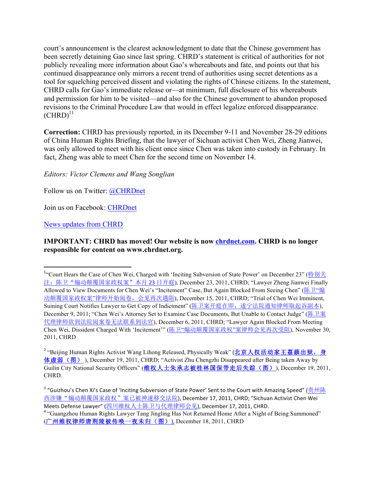court's announcement is the clearest acknowledgment to date that the Chinese government has been secretly detaining Gao since last spring. CHRD's statement is critical of authorities for not publicly revealing more information about Gao's whereabouts and fate, and points out that his continued disappearance only mirrors a recent trend of authorities using secret detentions as a tool for squelching perceived dissent and violating the rights of Chinese citizens. In the statement, CHRD calls for Gao's immediate release or—at minimum, full disclosure of his whereabouts and permission for him to be visited—and also for the Chinese government to abandon proposed revisions to the Criminal Procedure Law that would in effect legalize enforced disappearance.  $(CHRD)^{11}$ 

**Correction:** CHRD has previously reported, in its December 9-11 and November 28-29 editions of China Human Rights Briefing, that the lawyer of Sichuan activist Chen Wei, Zheng Jianwei, was only allowed to meet with his client once since Chen was taken into custody in February. In fact, Zheng was able to meet Chen for the second time on November 14.

*Editors: Victor Clemens and Wang Songlian* 

Follow us on Twitter: @CHRDnet

Join us on Facebook: CHRDnet

News updates from CHRD

!!!!!!!!!!!!!!!!!!!!!!!!!!!!!!!!!!!!!!!!!!!!!!!!!!!!!!!!!!!!

#### **IMPORTANT: CHRD has moved! Our website is now chrdnet.com. CHRD is no longer responsible for content on www.chrdnet.org.**

<sup>&</sup>lt;sup>1</sup>"Court Hears the Case of Chen Wei, Charged with 'Inciting Subversion of State Power' on December 23" (<u>特别关</u> 注:陈卫"煽动颠覆国家政权案"本月 23 日开庭), December 23, 2011, CHRD; "Lawyer Zheng Jianwei Finally Allowed to View Documents for Chen Wei's "Incitement" Case, But Again Blocked From Seeing Chen" (陈卫"煽 动颠覆国家政权案"律师开始阅卷,会见再次遇阻), December 15, 2011, CHRD; "Trial of Chen Wei Imminent, Suining Court Notifies Lawyer to Get Copy of Indictment" (陈卫案开庭在即,遂宁法院通知律师取起诉副本), December 9, 2011; "Chen Wei's Attorney Set to Examine Case Documents, But Unable to Contact Judge" (陈卫案 代理律师欲到法院阅案卷无法联系到法官), December 6, 2011, CHRD; "Lawyer Again Blocked From Meeting Chen Wei, Dissident Charged With 'Incitement'" (陈卫"煽动颠覆国家政权"案律师会见再次受阻), November 30, 2011, CHRD

<sup>&</sup>lt;sup>2</sup> "Beijing Human Rights Activist Wang Lihong Released, Physically Weak" (北京人权活动家王荔蕻出狱,身 体虚弱(图) ), December 19, 2011, CHRD; "Activist Zhu Chengzhi Disappeared after Being taken Away by Guilin City National Security Officers" (维权人士朱承志被桂林国保带走后失踪(图)), December 19, 2011, CHRD.

<sup>&</sup>lt;sup>3</sup> "Guizhou's Chen Xi's Case of 'Inciting Subversion of State Power' Sent to the Court with Amazing Speed" (贵州陈 西涉嫌"煽动颠覆国家政权"案<u>已被神速移交法院),</u> December 17, 2011, CHRD; "Sichuan Activist Chen Wei Meets Defense Lawyer" (四川维权人士陈卫与代理律师会见), December 17, 2011, CHRD.

<sup>4</sup> "Guangzhou Human Rights Lawyer Tang Jingling Has Not Returned Home After a Night of Being Summoned" (广州维权律师唐荆陵被传唤一夜未归(图)), December 18, 2011, CHRD